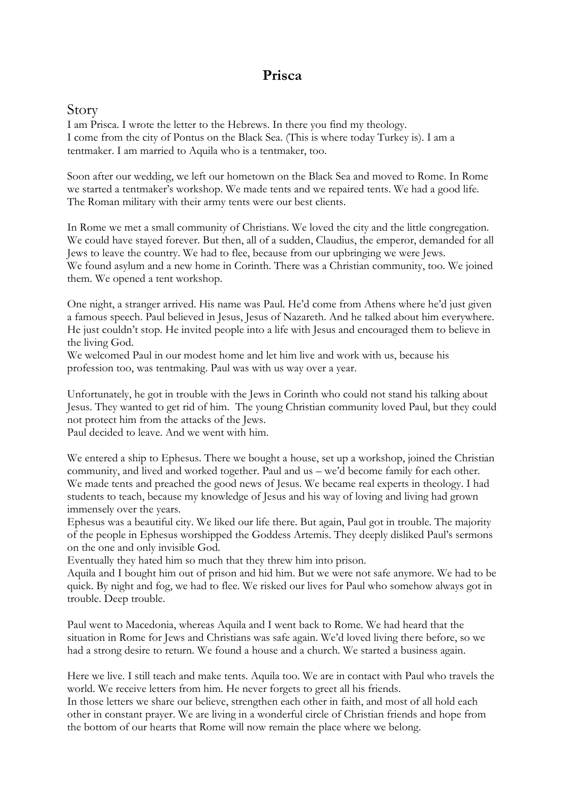## **Prisca**

## Story

I am Prisca. I wrote the letter to the Hebrews. In there you find my theology. I come from the city of Pontus on the Black Sea. (This is where today Turkey is). I am a tentmaker. I am married to Aquila who is a tentmaker, too.

Soon after our wedding, we left our hometown on the Black Sea and moved to Rome. In Rome we started a tentmaker's workshop. We made tents and we repaired tents. We had a good life. The Roman military with their army tents were our best clients.

In Rome we met a small community of Christians. We loved the city and the little congregation. We could have stayed forever. But then, all of a sudden, Claudius, the emperor, demanded for all Jews to leave the country. We had to flee, because from our upbringing we were Jews. We found asylum and a new home in Corinth. There was a Christian community, too. We joined them. We opened a tent workshop.

One night, a stranger arrived. His name was Paul. He'd come from Athens where he'd just given a famous speech. Paul believed in Jesus, Jesus of Nazareth. And he talked about him everywhere. He just couldn't stop. He invited people into a life with Jesus and encouraged them to believe in the living God.

We welcomed Paul in our modest home and let him live and work with us, because his profession too, was tentmaking. Paul was with us way over a year.

Unfortunately, he got in trouble with the Jews in Corinth who could not stand his talking about Jesus. They wanted to get rid of him. The young Christian community loved Paul, but they could not protect him from the attacks of the Jews.

Paul decided to leave. And we went with him.

We entered a ship to Ephesus. There we bought a house, set up a workshop, joined the Christian community, and lived and worked together. Paul and us – we'd become family for each other. We made tents and preached the good news of Jesus. We became real experts in theology. I had students to teach, because my knowledge of Jesus and his way of loving and living had grown immensely over the years.

Ephesus was a beautiful city. We liked our life there. But again, Paul got in trouble. The majority of the people in Ephesus worshipped the Goddess Artemis. They deeply disliked Paul's sermons on the one and only invisible God.

Eventually they hated him so much that they threw him into prison.

Aquila and I bought him out of prison and hid him. But we were not safe anymore. We had to be quick. By night and fog, we had to flee. We risked our lives for Paul who somehow always got in trouble. Deep trouble.

Paul went to Macedonia, whereas Aquila and I went back to Rome. We had heard that the situation in Rome for Jews and Christians was safe again. We'd loved living there before, so we had a strong desire to return. We found a house and a church. We started a business again.

Here we live. I still teach and make tents. Aquila too. We are in contact with Paul who travels the world. We receive letters from him. He never forgets to greet all his friends.

In those letters we share our believe, strengthen each other in faith, and most of all hold each other in constant prayer. We are living in a wonderful circle of Christian friends and hope from the bottom of our hearts that Rome will now remain the place where we belong.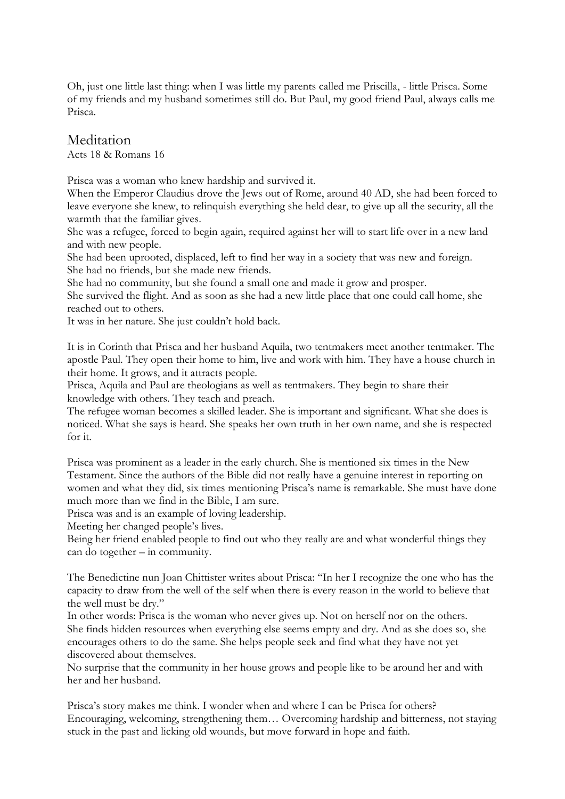Oh, just one little last thing: when I was little my parents called me Priscilla, - little Prisca. Some of my friends and my husband sometimes still do. But Paul, my good friend Paul, always calls me Prisca.

## Meditation

Acts 18 & Romans 16

Prisca was a woman who knew hardship and survived it.

When the Emperor Claudius drove the Jews out of Rome, around 40 AD, she had been forced to leave everyone she knew, to relinquish everything she held dear, to give up all the security, all the warmth that the familiar gives.

She was a refugee, forced to begin again, required against her will to start life over in a new land and with new people.

She had been uprooted, displaced, left to find her way in a society that was new and foreign. She had no friends, but she made new friends.

She had no community, but she found a small one and made it grow and prosper.

She survived the flight. And as soon as she had a new little place that one could call home, she reached out to others.

It was in her nature. She just couldn't hold back.

It is in Corinth that Prisca and her husband Aquila, two tentmakers meet another tentmaker. The apostle Paul. They open their home to him, live and work with him. They have a house church in their home. It grows, and it attracts people.

Prisca, Aquila and Paul are theologians as well as tentmakers. They begin to share their knowledge with others. They teach and preach.

The refugee woman becomes a skilled leader. She is important and significant. What she does is noticed. What she says is heard. She speaks her own truth in her own name, and she is respected for it.

Prisca was prominent as a leader in the early church. She is mentioned six times in the New Testament. Since the authors of the Bible did not really have a genuine interest in reporting on women and what they did, six times mentioning Prisca's name is remarkable. She must have done much more than we find in the Bible, I am sure.

Prisca was and is an example of loving leadership.

Meeting her changed people's lives.

Being her friend enabled people to find out who they really are and what wonderful things they can do together – in community.

The Benedictine nun Joan Chittister writes about Prisca: "In her I recognize the one who has the capacity to draw from the well of the self when there is every reason in the world to believe that the well must be dry."

In other words: Prisca is the woman who never gives up. Not on herself nor on the others. She finds hidden resources when everything else seems empty and dry. And as she does so, she encourages others to do the same. She helps people seek and find what they have not yet discovered about themselves.

No surprise that the community in her house grows and people like to be around her and with her and her husband.

Prisca's story makes me think. I wonder when and where I can be Prisca for others? Encouraging, welcoming, strengthening them… Overcoming hardship and bitterness, not staying stuck in the past and licking old wounds, but move forward in hope and faith.